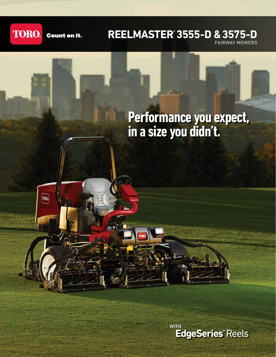

**TORO** 

**Count on it.** 

### **REELMASTER® 3555-D & 3575-D**

FAIRWAY MOWERS

## **Performance you expect, in a size you didn't.**

**EdgeSeries**"Reels WITH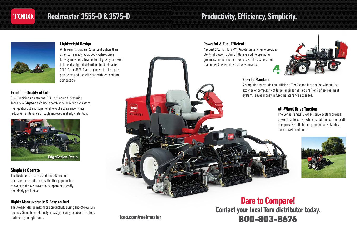

### **Reelmaster® 3555-D & 3575-D**

#### Lightweight Design

With weights that are 20 percent lighter than other comparably equipped 4-wheel drive fairway mowers, a low center of gravity and well balanced weight distribution, the Reelmaster 3555-D and 3575-D are engineered to be highly productive and fuel efficient, with reduced turf

> A simplified tractor design utilizing a Tier 4 compliant engine, without the expense or complexity of larger engines that require Tier 4 after-treatment

# particularly in tight turns. **EQO-803-8676 Contact your local Toro distributor today. Dare to Compare!**



# **Productivity, Efficiency, Simplicity.**

#### Simple to Operate

The Reelmaster 3555-D and 3575-D are built upon a common platform with other popular Toro mowers that have proven to be operator-friendly and highly productive.

### Highly Maneuverable & Easy on Turf



The 3-wheel design maximizes productivity during end-of-row turn arounds. Smooth, turf-friendly tires significantly decrease turf tear,

**toro.com/reelmaster**

Powerful & Fuel Efficient



### All-Wheel Drive Traction

The Series/Parallel 3-wheel drive system provides power to at least two wheels at all times. The result is impressive hill climbing and hillside stability, even in wet conditions.



### Excellent Quality of Cut

Dual Precision Adjustment (DPA) cutting units featuring Toro's new EdgeSeries™ Reels combine to deliver a consistent, high quality cut and superior after-cut appearance, while reducing maintenance through improved reel edge retention.